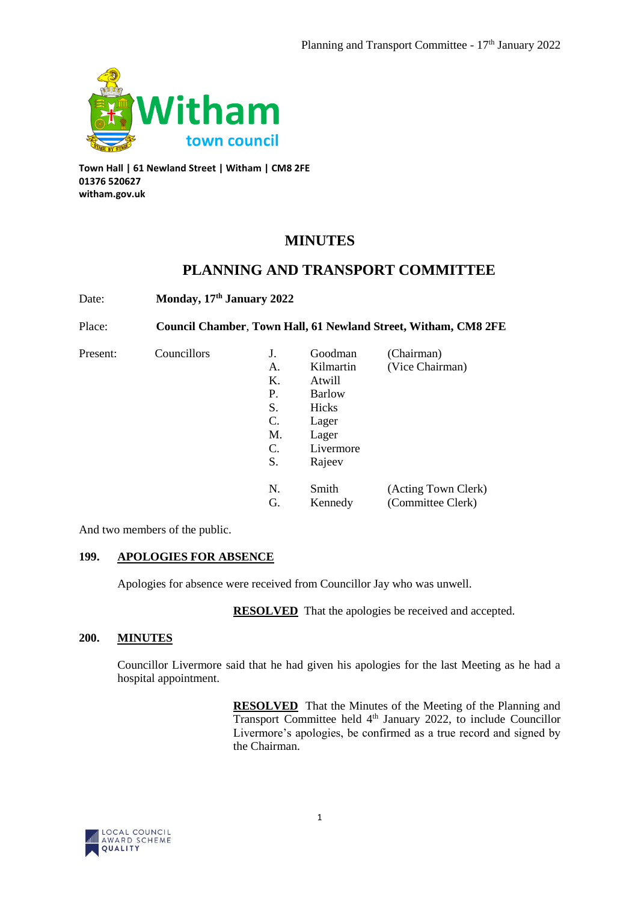

**Town Hall | 61 Newland Street | Witham | CM8 2FE 01376 520627 witham.gov.uk**

# **MINUTES**

# **PLANNING AND TRANSPORT COMMITTEE**

Date: **Monday, 17th January 2022**

Place: **Council Chamber**, **Town Hall, 61 Newland Street, Witham, CM8 2FE**

Present: Councillors

| J. | Goodman      | (Chairman)          |
|----|--------------|---------------------|
| А. | Kilmartin    | (Vice Chairman)     |
| K. | Atwill       |                     |
| P. | Barlow       |                     |
| S. | <b>Hicks</b> |                     |
| C. | Lager        |                     |
| М. | Lager        |                     |
| C. | Livermore    |                     |
| S. | Rajeev       |                     |
|    |              |                     |
| N. | Smith        | (Acting Town Clerk) |
| G. | Kennedy      | (Committee Clerk)   |

And two members of the public.

# **199. APOLOGIES FOR ABSENCE**

Apologies for absence were received from Councillor Jay who was unwell.

**RESOLVED** That the apologies be received and accepted.

# **200. MINUTES**

Councillor Livermore said that he had given his apologies for the last Meeting as he had a hospital appointment.

> **RESOLVED** That the Minutes of the Meeting of the Planning and Transport Committee held  $4<sup>th</sup>$  January 2022, to include Councillor Livermore's apologies, be confirmed as a true record and signed by the Chairman.

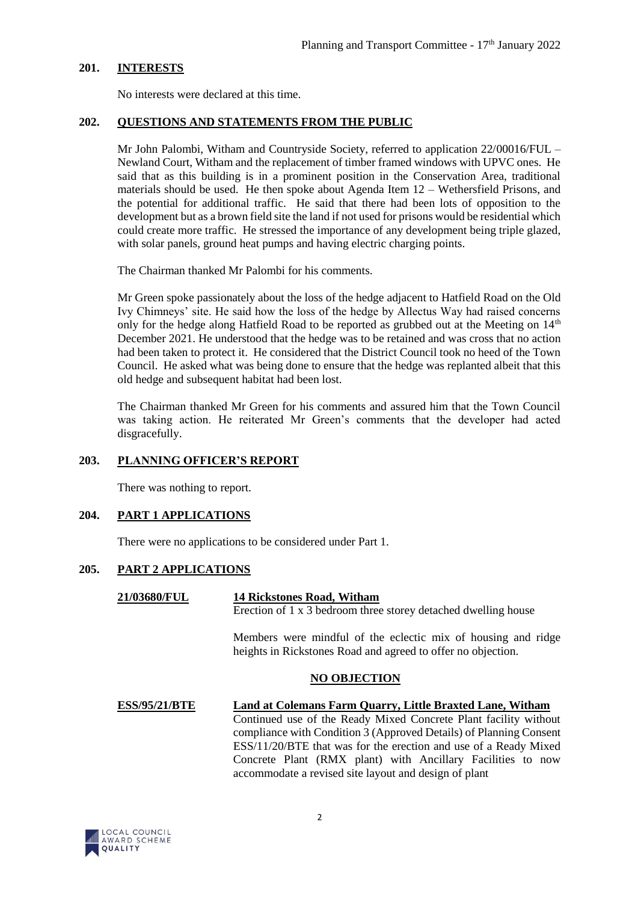## **201. INTERESTS**

No interests were declared at this time.

## **202. QUESTIONS AND STATEMENTS FROM THE PUBLIC**

Mr John Palombi, Witham and Countryside Society, referred to application 22/00016/FUL – Newland Court, Witham and the replacement of timber framed windows with UPVC ones. He said that as this building is in a prominent position in the Conservation Area, traditional materials should be used. He then spoke about Agenda Item 12 – Wethersfield Prisons, and the potential for additional traffic. He said that there had been lots of opposition to the development but as a brown field site the land if not used for prisons would be residential which could create more traffic. He stressed the importance of any development being triple glazed, with solar panels, ground heat pumps and having electric charging points.

The Chairman thanked Mr Palombi for his comments.

Mr Green spoke passionately about the loss of the hedge adjacent to Hatfield Road on the Old Ivy Chimneys' site. He said how the loss of the hedge by Allectus Way had raised concerns only for the hedge along Hatfield Road to be reported as grubbed out at the Meeting on  $14<sup>th</sup>$ December 2021. He understood that the hedge was to be retained and was cross that no action had been taken to protect it. He considered that the District Council took no heed of the Town Council. He asked what was being done to ensure that the hedge was replanted albeit that this old hedge and subsequent habitat had been lost.

The Chairman thanked Mr Green for his comments and assured him that the Town Council was taking action. He reiterated Mr Green's comments that the developer had acted disgracefully.

# **203. PLANNING OFFICER'S REPORT**

There was nothing to report.

## **204. PART 1 APPLICATIONS**

There were no applications to be considered under Part 1.

### **205. PART 2 APPLICATIONS**

#### **21/03680/FUL 14 Rickstones Road, Witham** Erection of 1 x 3 bedroom three storey detached dwelling house

Members were mindful of the eclectic mix of housing and ridge heights in Rickstones Road and agreed to offer no objection.

### **NO OBJECTION**

**ESS/95/21/BTE Land at Colemans Farm Quarry, Little Braxted Lane, Witham** Continued use of the Ready Mixed Concrete Plant facility without compliance with Condition 3 (Approved Details) of Planning Consent ESS/11/20/BTE that was for the erection and use of a Ready Mixed Concrete Plant (RMX plant) with Ancillary Facilities to now accommodate a revised site layout and design of plant

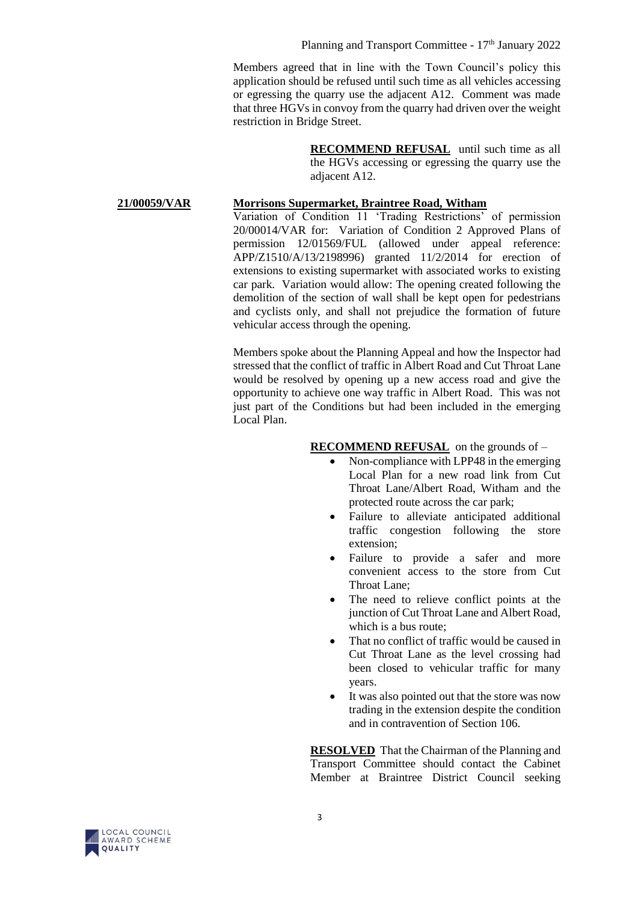Members agreed that in line with the Town Council's policy this application should be refused until such time as all vehicles accessing or egressing the quarry use the adjacent A12. Comment was made that three HGVs in convoy from the quarry had driven over the weight restriction in Bridge Street.

> **RECOMMEND REFUSAL** until such time as all the HGVs accessing or egressing the quarry use the adjacent A12.

#### **21/00059/VAR Morrisons Supermarket, Braintree Road, Witham**

Variation of Condition 11 'Trading Restrictions' of permission 20/00014/VAR for: Variation of Condition 2 Approved Plans of permission 12/01569/FUL (allowed under appeal reference: APP/Z1510/A/13/2198996) granted 11/2/2014 for erection of extensions to existing supermarket with associated works to existing car park. Variation would allow: The opening created following the demolition of the section of wall shall be kept open for pedestrians and cyclists only, and shall not prejudice the formation of future vehicular access through the opening.

Members spoke about the Planning Appeal and how the Inspector had stressed that the conflict of traffic in Albert Road and Cut Throat Lane would be resolved by opening up a new access road and give the opportunity to achieve one way traffic in Albert Road. This was not just part of the Conditions but had been included in the emerging Local Plan.

#### **RECOMMEND REFUSAL** on the grounds of –

- Non-compliance with LPP48 in the emerging Local Plan for a new road link from Cut Throat Lane/Albert Road, Witham and the protected route across the car park;
- Failure to alleviate anticipated additional traffic congestion following the store extension;
- Failure to provide a safer and more convenient access to the store from Cut Throat Lane;
- The need to relieve conflict points at the junction of Cut Throat Lane and Albert Road, which is a bus route;
- That no conflict of traffic would be caused in Cut Throat Lane as the level crossing had been closed to vehicular traffic for many years.
- It was also pointed out that the store was now trading in the extension despite the condition and in contravention of Section 106.

**RESOLVED** That the Chairman of the Planning and Transport Committee should contact the Cabinet Member at Braintree District Council seeking

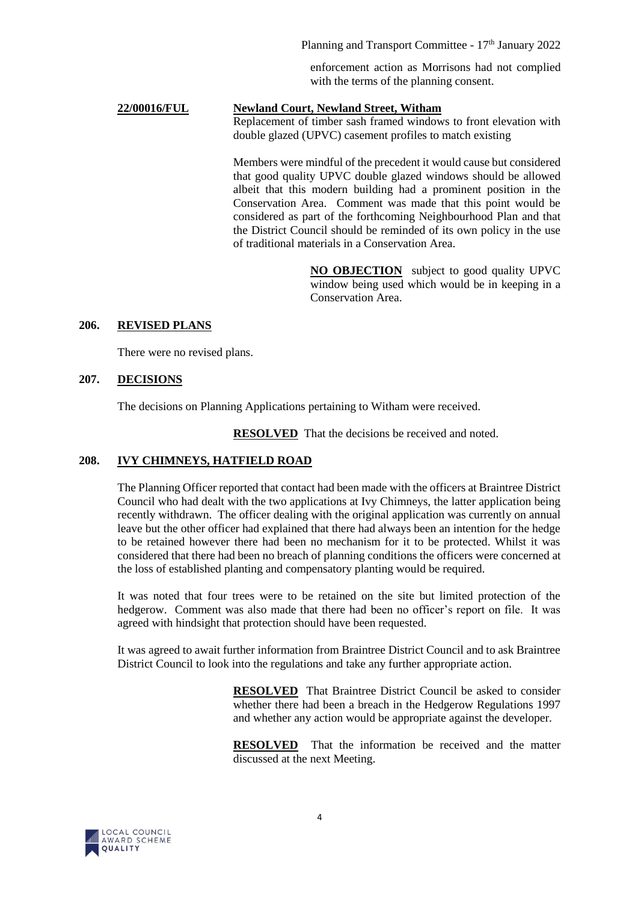Planning and Transport Committee - 17<sup>th</sup> January 2022

enforcement action as Morrisons had not complied with the terms of the planning consent.

# **22/00016/FUL Newland Court, Newland Street, Witham**

Replacement of timber sash framed windows to front elevation with double glazed (UPVC) casement profiles to match existing

Members were mindful of the precedent it would cause but considered that good quality UPVC double glazed windows should be allowed albeit that this modern building had a prominent position in the Conservation Area. Comment was made that this point would be considered as part of the forthcoming Neighbourhood Plan and that the District Council should be reminded of its own policy in the use of traditional materials in a Conservation Area.

> **NO OBJECTION** subject to good quality UPVC window being used which would be in keeping in a Conservation Area.

## **206. REVISED PLANS**

There were no revised plans.

## **207. DECISIONS**

The decisions on Planning Applications pertaining to Witham were received.

**RESOLVED** That the decisions be received and noted.

# **208. IVY CHIMNEYS, HATFIELD ROAD**

The Planning Officer reported that contact had been made with the officers at Braintree District Council who had dealt with the two applications at Ivy Chimneys, the latter application being recently withdrawn. The officer dealing with the original application was currently on annual leave but the other officer had explained that there had always been an intention for the hedge to be retained however there had been no mechanism for it to be protected. Whilst it was considered that there had been no breach of planning conditions the officers were concerned at the loss of established planting and compensatory planting would be required.

It was noted that four trees were to be retained on the site but limited protection of the hedgerow. Comment was also made that there had been no officer's report on file. It was agreed with hindsight that protection should have been requested.

It was agreed to await further information from Braintree District Council and to ask Braintree District Council to look into the regulations and take any further appropriate action.

> **RESOLVED** That Braintree District Council be asked to consider whether there had been a breach in the Hedgerow Regulations 1997 and whether any action would be appropriate against the developer.

> **RESOLVED** That the information be received and the matter discussed at the next Meeting.